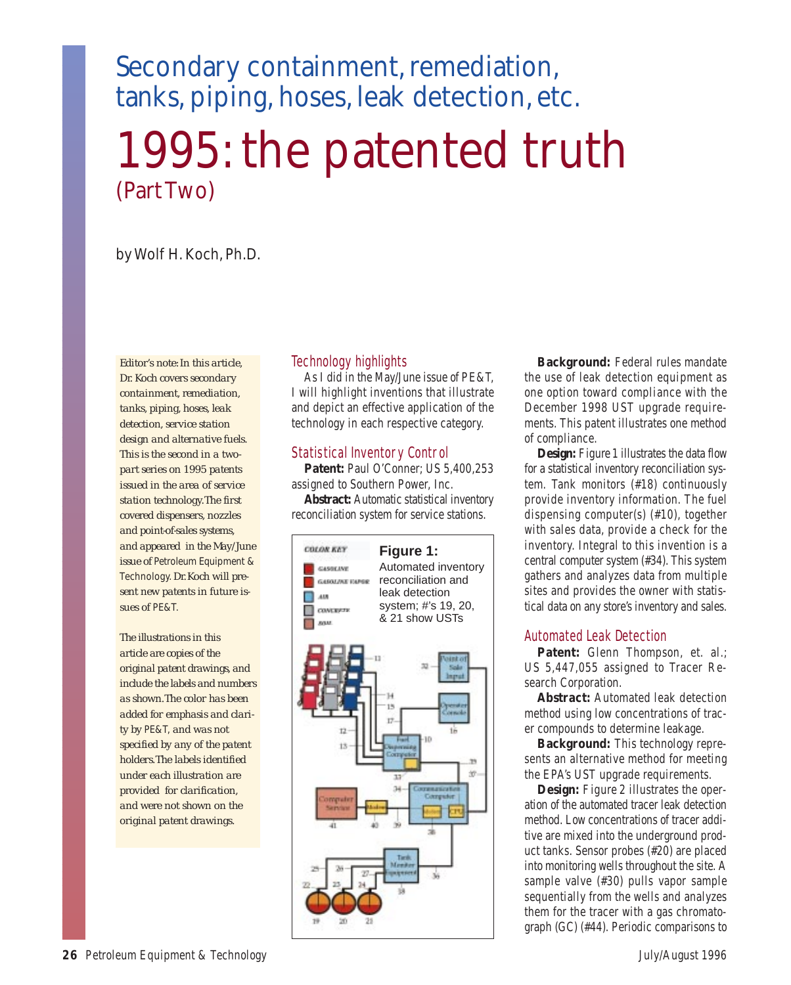# Secondary containment, remediation, tanks, piping, hoses, leak detection, etc.

1995: the patented truth (Part Two)

## by Wolf H. Koch, Ph.D.

*Editor's note: In this article, Dr. Koch covers secondary containment, remediation, tanks, piping, hoses, leak detection, service station design and alternative fuels. This is the second in a twopart series on 1995 patents issued in the area of service station technology.The first covered dispensers, nozzles and point-of-sales systems, and appeared in the May/June issue of* Petroleum Equipment & Technology.*Dr. Koch will present new patents in future issues of* PE&T.

*The illustrations in this article are copies of the original patent drawings, and include the labels and numbers as shown.The color has been added for emphasis and clarity by* PE&T, *and was not specified by any of the patent holders.The labels identified under each illustration are provided for clarification, and were not shown on the original patent drawings.*

#### Technology highlights

As I did in the May/June issue of *PE&T,* I will highlight inventions that illustrate and depict an effective application of the technology in each respective category.

#### Statistical Inventory Control

**Patent:** Paul O'Conner; US 5,400,253 assigned to Southern Power, Inc.

**Abstract:** Automatic statistical inventory reconciliation system for service stations.



**Background:** Federal rules mandate the use of leak detection equipment as one option toward compliance with the December 1998 UST upgrade requirements. This patent illustrates one method of compliance.

**Design:** *Figure 1* illustrates the data flow for a statistical inventory reconciliation system. Tank monitors (#18) continuously provide inventory information. The fuel dispensing computer(s) (#10), together with sales data, provide a check for the inventory. Integral to this invention is a central computer system (#34). This system gathers and analyzes data from multiple sites and provides the owner with statistical data on any store's inventory and sales.

#### Automated Leak Detection

Patent: Glenn Thompson, et. al.; US 5,447,055 assigned to Tracer Research Corporation.

**Abstract:** Automated leak detection method using low concentrations of tracer compounds to determine leakage.

**Background:** This technology represents an alternative method for meeting the EPA's UST upgrade requirements.

**Design:** *Figure 2* illustrates the operation of the automated tracer leak detection method. Low concentrations of tracer additive are mixed into the underground product tanks. Sensor probes (#20) are placed into monitoring wells throughout the site. A sample valve (#30) pulls vapor sample sequentially from the wells and analyzes them for the tracer with a gas chromatograph (GC) (#44). Periodic comparisons to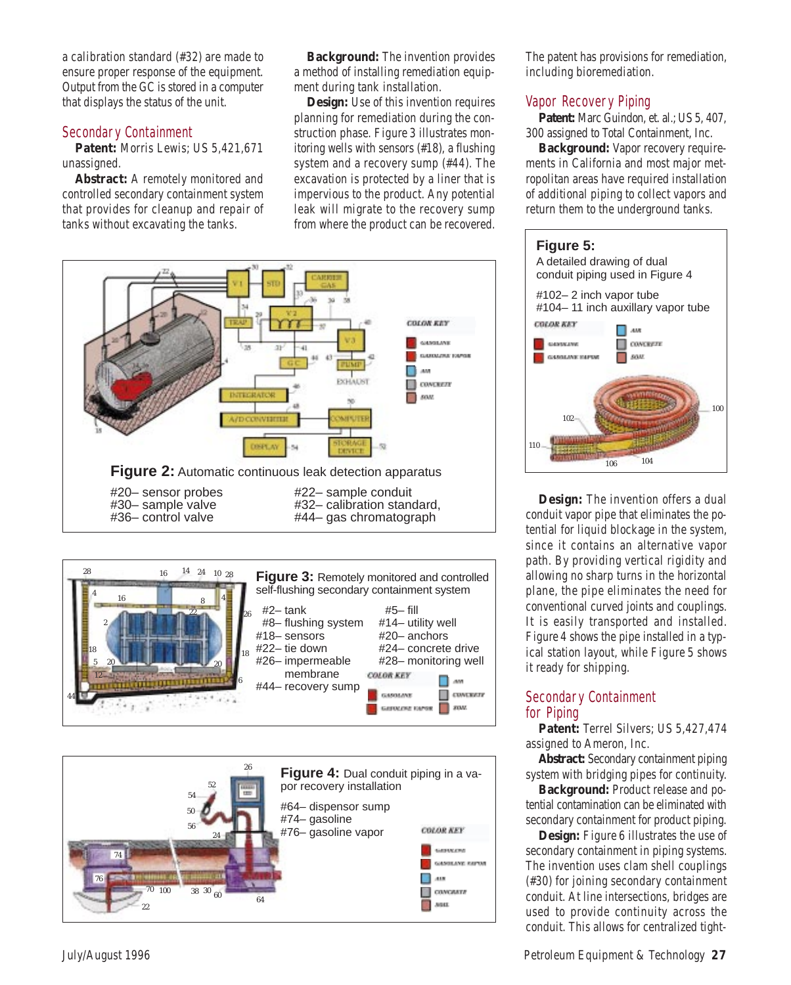a calibration standard (#32) are made to ensure proper response of the equipment. Output from the GC is stored in a computer that displays the status of the unit.

#### Secondary Containment

**Patent:** Morris Lewis; US 5,421,671 unassigned.

**Abstract:** A remotely monitored and controlled secondary containment system that provides for cleanup and repair of tanks without excavating the tanks.

**Background:** The invention provides a method of installing remediation equipment during tank installation.

**Design:** Use of this invention requires planning for remediation during the construction phase. *Figure 3* illustrates monitoring wells with sensors (#18), a flushing system and a recovery sump (#44). The excavation is protected by a liner that is impervious to the product. Any potential leak will migrate to the recovery sump from where the product can be recovered. The patent has provisions for remediation, including bioremediation.

#### Vapor Recovery Piping

Patent: Marc Guindon, et. al.; US 5, 407, 300 assigned to Total Containment, Inc.

**Background:** Vapor recovery requirements in California and most major metropolitan areas have required installation of additional piping to collect vapors and return them to the underground tanks.



**Design:** The invention offers a dual conduit vapor pipe that eliminates the potential for liquid blockage in the system, since it contains an alternative vapor path. By providing vertical rigidity and allowing no sharp turns in the horizontal plane, the pipe eliminates the need for conventional curved joints and couplings. It is easily transported and installed. *Figure 4* shows the pipe installed in a typical station layout, while *Figure 5* shows it ready for shipping.

#### Secondary Containment for Piping

**Patent:** Terrel Silvers; US 5,427,474 assigned to Ameron, Inc.

**Abstract:** Secondary containment piping system with bridging pipes for continuity.

**Background:** Product release and potential contamination can be eliminated with secondary containment for product piping.

**Design:** *Figure 6* illustrates the use of secondary containment in piping systems. The invention uses clam shell couplings (#30) for joining secondary containment conduit. At line intersections, bridges are used to provide continuity across the conduit. This allows for centralized tight-





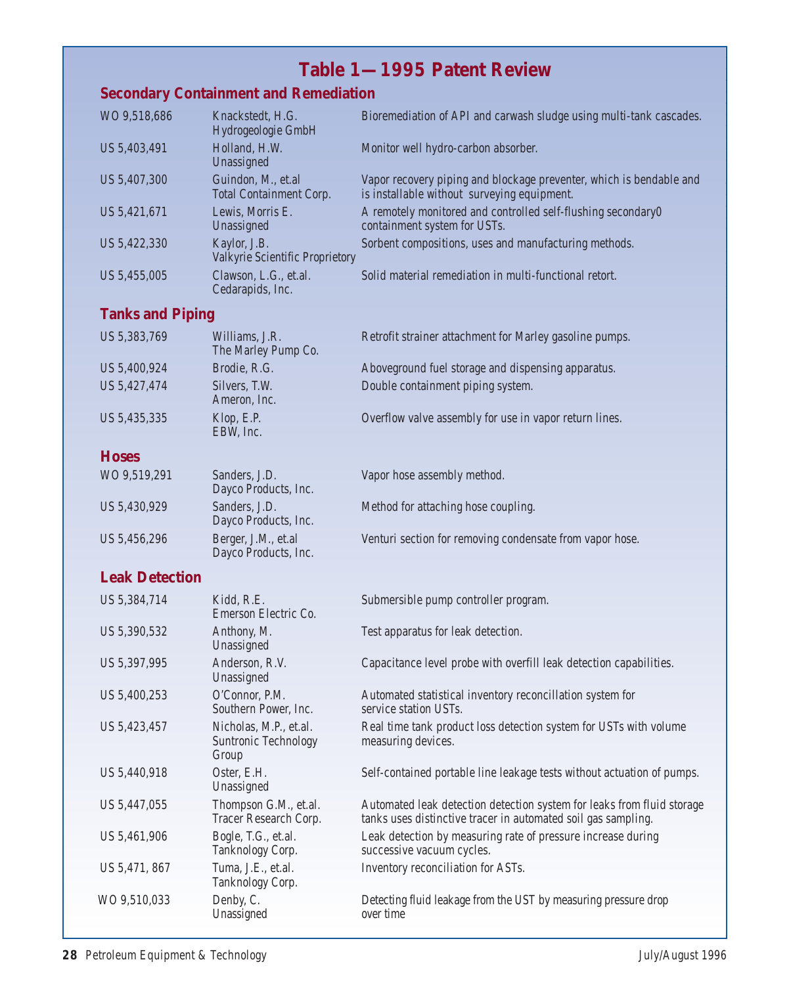# **Table 1—1995 Patent Review**

## **Secondary Containment and Remediation**

| WO 9,518,686 | Knackstedt, H.G.<br>Hydrogeologie GmbH               | Bioremediation of API and carwash sludge using multi-tank cascades.                                                |
|--------------|------------------------------------------------------|--------------------------------------------------------------------------------------------------------------------|
| US 5,403,491 | Holland, H.W.<br>Unassigned                          | Monitor well hydro-carbon absorber.                                                                                |
| US 5,407,300 | Guindon, M., et.al<br><b>Total Containment Corp.</b> | Vapor recovery piping and blockage preventer, which is bendable and<br>is installable without surveying equipment. |
| US 5,421,671 | Lewis, Morris E.<br>Unassigned                       | A remotely monitored and controlled self-flushing secondary0<br>containment system for USTs.                       |
| US 5,422,330 | Kaylor, J.B.<br>Valkyrie Scientific Proprietory      | Sorbent compositions, uses and manufacturing methods.                                                              |
| US 5,455,005 | Clawson, L.G., et.al.<br>Cedarapids, Inc.            | Solid material remediation in multi-functional retort.                                                             |

## **Tanks and Piping**

| US 5,383,769 | Williams, J.R.<br>The Marley Pump Co. | Retrofit strainer attachment for Marley gasoline pumps. |
|--------------|---------------------------------------|---------------------------------------------------------|
| US 5,400,924 | Brodie, R.G.                          | Aboveground fuel storage and dispensing apparatus.      |
| US 5,427,474 | Silvers, T.W.<br>Ameron, Inc.         | Double containment piping system.                       |
| US 5,435,335 | Klop, E.P.<br>EBW, Inc.               | Overflow valve assembly for use in vapor return lines.  |
| <b>Hoses</b> |                                       |                                                         |
| WO 9,519,291 | Sanders, J.D.<br>Dayco Products, Inc. | Vapor hose assembly method.                             |

US 5,430,929 Sanders, J.D. Method for attaching hose coupling. Dayco Products, Inc. US 5,456,296 Berger, J.M., et.al Venturi section for removing condensate from vapor hose. Dayco Products, Inc.

### **Leak Detection**

| US 5,384,714  | Kidd, R.E.<br>Emerson Electric Co.                             | Submersible pump controller program.                                                                                                    |
|---------------|----------------------------------------------------------------|-----------------------------------------------------------------------------------------------------------------------------------------|
| US 5,390,532  | Anthony, M.<br>Unassigned                                      | Test apparatus for leak detection.                                                                                                      |
| US 5,397,995  | Anderson, R.V.<br>Unassigned                                   | Capacitance level probe with overfill leak detection capabilities.                                                                      |
| US 5,400,253  | O'Connor, P.M.<br>Southern Power, Inc.                         | Automated statistical inventory reconcillation system for<br>service station USTs.                                                      |
| US 5,423,457  | Nicholas, M.P., et.al.<br><b>Suntronic Technology</b><br>Group | Real time tank product loss detection system for USTs with volume<br>measuring devices.                                                 |
| US 5,440,918  | Oster, E.H.<br>Unassigned                                      | Self-contained portable line leakage tests without actuation of pumps.                                                                  |
| US 5,447,055  | Thompson G.M., et.al.<br><b>Tracer Research Corp.</b>          | Automated leak detection detection system for leaks from fluid storage<br>tanks uses distinctive tracer in automated soil gas sampling. |
| US 5,461,906  | Bogle, T.G., et.al.<br>Tanknology Corp.                        | Leak detection by measuring rate of pressure increase during<br>successive vacuum cycles.                                               |
| US 5,471, 867 | Tuma, J.E., et.al.<br>Tanknology Corp.                         | Inventory reconciliation for ASTs.                                                                                                      |
| WO 9,510,033  | Denby, C.<br>Unassigned                                        | Detecting fluid leakage from the UST by measuring pressure drop<br>over time                                                            |